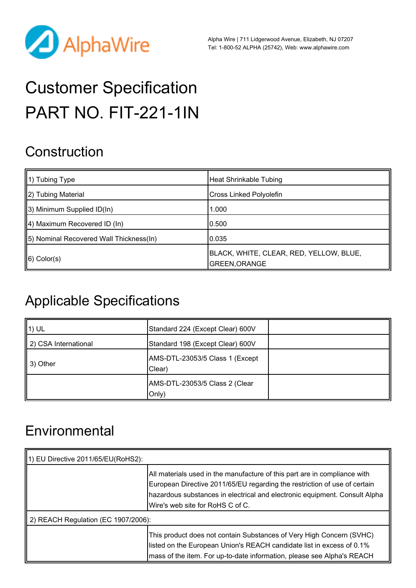

Alpha Wire | 711 Lidgerwood Avenue, Elizabeth, NJ 07207 Tel: 1-800-52 ALPHA (25742), Web: [www.alphawire.com](http://www.alphawire.com)

# Customer Specification PART NO. FIT-221-1IN

## **Construction**

| $\parallel$ 1) Tubing Type               | <b>Heat Shrinkable Tubing</b>                            |
|------------------------------------------|----------------------------------------------------------|
| 2) Tubing Material                       | Cross Linked Polyolefin                                  |
| 3) Minimum Supplied ID(In)               | 1.000                                                    |
| $\parallel$ 4) Maximum Recovered ID (In) | 0.500                                                    |
| [5] Nominal Recovered Wall Thickness(In) | 0.035                                                    |
| $\ 6)$ Color(s)                          | BLACK, WHITE, CLEAR, RED, YELLOW, BLUE,<br>GREEN, ORANGE |

## Applicable Specifications

| 1) UL                | Standard 224 (Except Clear) 600V           |  |
|----------------------|--------------------------------------------|--|
| 2) CSA International | Standard 198 (Except Clear) 600V           |  |
| 3) Other             | AMS-DTL-23053/5 Class 1 (Except<br>(Clear) |  |
|                      | AMS-DTL-23053/5 Class 2 (Clear<br>Only)    |  |

## **Environmental**

| 1) EU Directive 2011/65/EU(RoHS2):  |                                                                                                                                                                                                                                                                          |
|-------------------------------------|--------------------------------------------------------------------------------------------------------------------------------------------------------------------------------------------------------------------------------------------------------------------------|
|                                     | All materials used in the manufacture of this part are in compliance with<br>European Directive 2011/65/EU regarding the restriction of use of certain<br>hazardous substances in electrical and electronic equipment. Consult Alpha<br>Wire's web site for RoHS C of C. |
| 2) REACH Regulation (EC 1907/2006): |                                                                                                                                                                                                                                                                          |
|                                     | This product does not contain Substances of Very High Concern (SVHC)<br>listed on the European Union's REACH candidate list in excess of 0.1%<br>mass of the item. For up-to-date information, please see Alpha's REACH                                                  |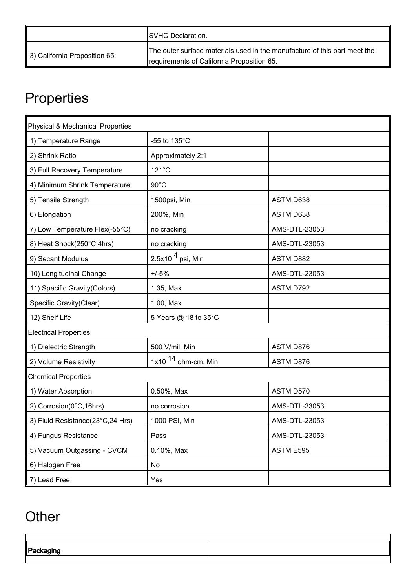|                               | <b>ISVHC Declaration.</b>                                                                                               |
|-------------------------------|-------------------------------------------------------------------------------------------------------------------------|
| 3) California Proposition 65: | The outer surface materials used in the manufacture of this part meet the<br>requirements of California Proposition 65. |

## **Properties**

| Physical & Mechanical Properties |                       |               |
|----------------------------------|-----------------------|---------------|
| 1) Temperature Range             | -55 to 135°C          |               |
| 2) Shrink Ratio                  | Approximately 2:1     |               |
| 3) Full Recovery Temperature     | 121°C                 |               |
| 4) Minimum Shrink Temperature    | $90^{\circ}$ C        |               |
| 5) Tensile Strength              | 1500psi, Min          | ASTM D638     |
| 6) Elongation                    | 200%, Min             | ASTM D638     |
| 7) Low Temperature Flex(-55°C)   | no cracking           | AMS-DTL-23053 |
| 8) Heat Shock(250°C,4hrs)        | no cracking           | AMS-DTL-23053 |
| 9) Secant Modulus                | 2.5x10 $4$ psi, Min   | ASTM D882     |
| 10) Longitudinal Change          | $+/-5%$               | AMS-DTL-23053 |
| 11) Specific Gravity(Colors)     | 1.35, Max             | ASTM D792     |
| Specific Gravity(Clear)          | 1.00, Max             |               |
| 12) Shelf Life                   | 5 Years @ 18 to 35°C  |               |
| <b>Electrical Properties</b>     |                       |               |
| 1) Dielectric Strength           | 500 V/mil, Min        | ASTM D876     |
| 2) Volume Resistivity            | 1x10 $14$ ohm-cm, Min | ASTM D876     |
| <b>Chemical Properties</b>       |                       |               |
| 1) Water Absorption              | 0.50%, Max            | ASTM D570     |
| 2) Corrosion(0°C, 16hrs)         | no corrosion          | AMS-DTL-23053 |
| 3) Fluid Resistance(23°C,24 Hrs) | 1000 PSI, Min         | AMS-DTL-23053 |
| 4) Fungus Resistance             | Pass                  | AMS-DTL-23053 |
| 5) Vacuum Outgassing - CVCM      | 0.10%, Max            | ASTM E595     |
| 6) Halogen Free                  | No                    |               |
| 7) Lead Free                     | Yes                   |               |

## **Other**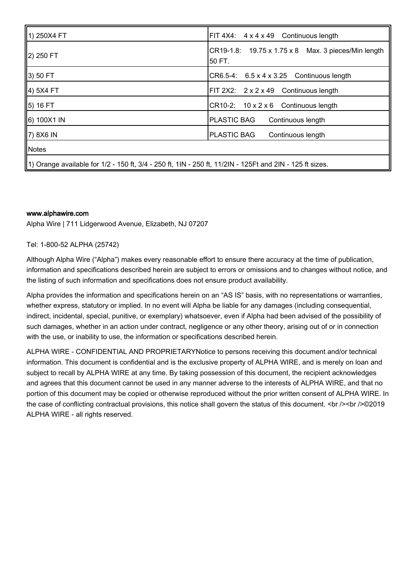| 1) 250X4 FT                                                                                              | $FIT 4X4: 4 \times 4 \times 49$ Continuous length                |
|----------------------------------------------------------------------------------------------------------|------------------------------------------------------------------|
| 2) 250 FT                                                                                                | $CR19-1.8$ : 19.75 x 1.75 x 8 Max. 3 pieces/Min length<br>50 FT. |
| 3) 50 FT                                                                                                 | $CR6.5-4$ : $6.5 \times 4 \times 3.25$ Continuous length         |
| 4) 5X4 FT                                                                                                | $FIT 2X2: 2 \times 2 \times 49$ Continuous length                |
| <u></u> 5) 16 FT                                                                                         | CR10-2: 10 x 2 x 6 Continuous length                             |
| 6) 100X1 IN                                                                                              | <b>PLASTIC BAG</b><br>Continuous length                          |
| $\parallel$ 7) 8X6 IN                                                                                    | <b>PLASTIC BAG</b><br>Continuous length                          |
| $\parallel$ Notes                                                                                        |                                                                  |
| 1) Orange available for 1/2 - 150 ft, 3/4 - 250 ft, 1lN - 250 ft, 11/2lN - 125Ft and 2lN - 125 ft sizes. |                                                                  |

#### [www.alphawire.com](http://www.alphawire.com)

Alpha Wire | 711 Lidgerwood Avenue, Elizabeth, NJ 07207

#### Tel: 1-800-52 ALPHA (25742)

Although Alpha Wire ("Alpha") makes every reasonable effort to ensure there accuracy at the time of publication, information and specifications described herein are subject to errors or omissions and to changes without notice, and the listing of such information and specifications does not ensure product availability.

Alpha provides the information and specifications herein on an "AS IS" basis, with no representations or warranties, whether express, statutory or implied. In no event will Alpha be liable for any damages (including consequential, indirect, incidental, special, punitive, or exemplary) whatsoever, even if Alpha had been advised of the possibility of such damages, whether in an action under contract, negligence or any other theory, arising out of or in connection with the use, or inability to use, the information or specifications described herein.

ALPHA WIRE - CONFIDENTIAL AND PROPRIETARYNotice to persons receiving this document and/or technical information. This document is confidential and is the exclusive property of ALPHA WIRE, and is merely on loan and subject to recall by ALPHA WIRE at any time. By taking possession of this document, the recipient acknowledges and agrees that this document cannot be used in any manner adverse to the interests of ALPHA WIRE, and that no portion of this document may be copied or otherwise reproduced without the prior written consent of ALPHA WIRE. In the case of conflicting contractual provisions, this notice shall govern the status of this document.  $\epsilon$  />  $\epsilon$  />  $\epsilon$  />  $\approx$  />  $\approx$  /> 02019 ALPHA WIRE - all rights reserved.